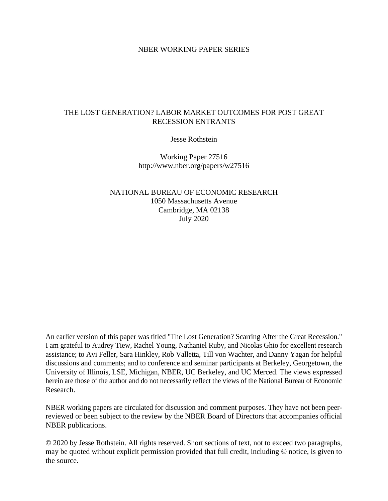# NBER WORKING PAPER SERIES

# THE LOST GENERATION? LABOR MARKET OUTCOMES FOR POST GREAT RECESSION ENTRANTS

Jesse Rothstein

Working Paper 27516 http://www.nber.org/papers/w27516

NATIONAL BUREAU OF ECONOMIC RESEARCH 1050 Massachusetts Avenue Cambridge, MA 02138 July 2020

An earlier version of this paper was titled "The Lost Generation? Scarring After the Great Recession." I am grateful to Audrey Tiew, Rachel Young, Nathaniel Ruby, and Nicolas Ghio for excellent research assistance; to Avi Feller, Sara Hinkley, Rob Valletta, Till von Wachter, and Danny Yagan for helpful discussions and comments; and to conference and seminar participants at Berkeley, Georgetown, the University of Illinois, LSE, Michigan, NBER, UC Berkeley, and UC Merced. The views expressed herein are those of the author and do not necessarily reflect the views of the National Bureau of Economic Research.

NBER working papers are circulated for discussion and comment purposes. They have not been peerreviewed or been subject to the review by the NBER Board of Directors that accompanies official NBER publications.

© 2020 by Jesse Rothstein. All rights reserved. Short sections of text, not to exceed two paragraphs, may be quoted without explicit permission provided that full credit, including © notice, is given to the source.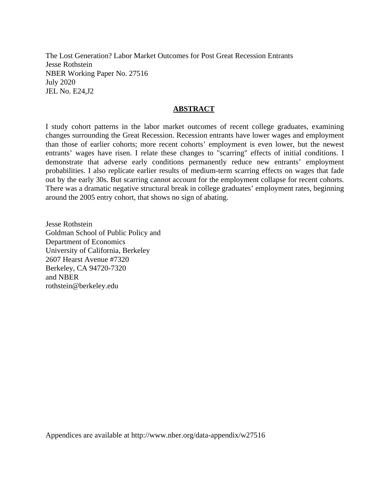The Lost Generation? Labor Market Outcomes for Post Great Recession Entrants Jesse Rothstein NBER Working Paper No. 27516 July 2020 JEL No. E24,J2

# **ABSTRACT**

I study cohort patterns in the labor market outcomes of recent college graduates, examining changes surrounding the Great Recession. Recession entrants have lower wages and employment than those of earlier cohorts; more recent cohorts' employment is even lower, but the newest entrants' wages have risen. I relate these changes to "scarring" effects of initial conditions. I demonstrate that adverse early conditions permanently reduce new entrants' employment probabilities. I also replicate earlier results of medium-term scarring effects on wages that fade out by the early 30s. But scarring cannot account for the employment collapse for recent cohorts. There was a dramatic negative structural break in college graduates' employment rates, beginning around the 2005 entry cohort, that shows no sign of abating.

Jesse Rothstein Goldman School of Public Policy and Department of Economics University of California, Berkeley 2607 Hearst Avenue #7320 Berkeley, CA 94720-7320 and NBER rothstein@berkeley.edu

Appendices are available at http://www.nber.org/data-appendix/w27516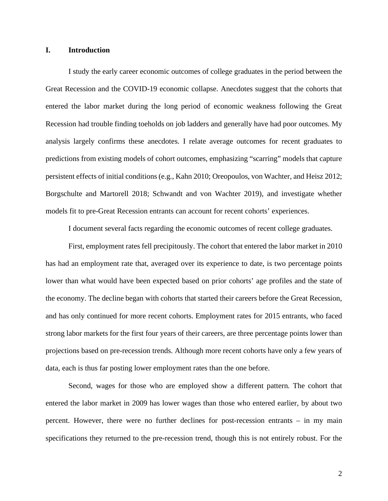## **I. Introduction**

I study the early career economic outcomes of college graduates in the period between the Great Recession and the COVID-19 economic collapse. Anecdotes suggest that the cohorts that entered the labor market during the long period of economic weakness following the Great Recession had trouble finding toeholds on job ladders and generally have had poor outcomes. My analysis largely confirms these anecdotes. I relate average outcomes for recent graduates to predictions from existing models of cohort outcomes, emphasizing "scarring" models that capture persistent effects of initial conditions (e.g., Kahn 2010; Oreopoulos, von Wachter, and Heisz 2012; Borgschulte and Martorell 2018; Schwandt and von Wachter 2019), and investigate whether models fit to pre-Great Recession entrants can account for recent cohorts' experiences.

I document several facts regarding the economic outcomes of recent college graduates.

First, employment rates fell precipitously. The cohort that entered the labor market in 2010 has had an employment rate that, averaged over its experience to date, is two percentage points lower than what would have been expected based on prior cohorts' age profiles and the state of the economy. The decline began with cohorts that started their careers before the Great Recession, and has only continued for more recent cohorts. Employment rates for 2015 entrants, who faced strong labor markets for the first four years of their careers, are three percentage points lower than projections based on pre-recession trends. Although more recent cohorts have only a few years of data, each is thus far posting lower employment rates than the one before.

Second, wages for those who are employed show a different pattern. The cohort that entered the labor market in 2009 has lower wages than those who entered earlier, by about two percent. However, there were no further declines for post-recession entrants – in my main specifications they returned to the pre-recession trend, though this is not entirely robust. For the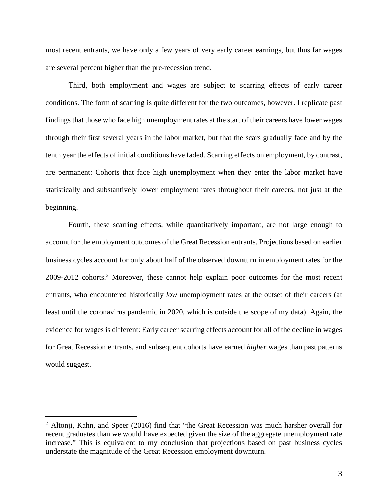most recent entrants, we have only a few years of very early career earnings, but thus far wages are several percent higher than the pre-recession trend.

Third, both employment and wages are subject to scarring effects of early career conditions. The form of scarring is quite different for the two outcomes, however. I replicate past findings that those who face high unemployment rates at the start of their careers have lower wages through their first several years in the labor market, but that the scars gradually fade and by the tenth year the effects of initial conditions have faded. Scarring effects on employment, by contrast, are permanent: Cohorts that face high unemployment when they enter the labor market have statistically and substantively lower employment rates throughout their careers, not just at the beginning.

Fourth, these scarring effects, while quantitatively important, are not large enough to account for the employment outcomes of the Great Recession entrants. Projections based on earlier business cycles account for only about half of the observed downturn in employment rates for the 2009-2012 cohorts.<sup>2</sup> Moreover, these cannot help explain poor outcomes for the most recent entrants, who encountered historically *low* unemployment rates at the outset of their careers (at least until the coronavirus pandemic in 2020, which is outside the scope of my data). Again, the evidence for wages is different: Early career scarring effects account for all of the decline in wages for Great Recession entrants, and subsequent cohorts have earned *higher* wages than past patterns would suggest.

 $2$  Altonji, Kahn, and Speer (2016) find that "the Great Recession was much harsher overall for recent graduates than we would have expected given the size of the aggregate unemployment rate increase." This is equivalent to my conclusion that projections based on past business cycles understate the magnitude of the Great Recession employment downturn.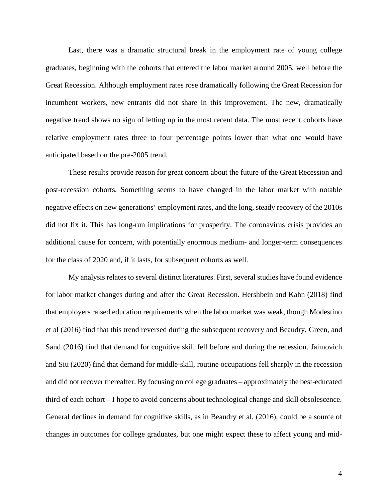Last, there was a dramatic structural break in the employment rate of young college graduates, beginning with the cohorts that entered the labor market around 2005, well before the Great Recession. Although employment rates rose dramatically following the Great Recession for incumbent workers, new entrants did not share in this improvement. The new, dramatically negative trend shows no sign of letting up in the most recent data. The most recent cohorts have relative employment rates three to four percentage points lower than what one would have anticipated based on the pre-2005 trend.

These results provide reason for great concern about the future of the Great Recession and post-recession cohorts. Something seems to have changed in the labor market with notable negative effects on new generations' employment rates, and the long, steady recovery of the 2010s did not fix it. This has long-run implications for prosperity. The coronavirus crisis provides an additional cause for concern, with potentially enormous medium- and longer-term consequences for the class of 2020 and, if it lasts, for subsequent cohorts as well.

My analysis relates to several distinct literatures. First, several studies have found evidence for labor market changes during and after the Great Recession. Hershbein and Kahn (2018) find that employers raised education requirements when the labor market was weak, though Modestino et al (2016) find that this trend reversed during the subsequent recovery and Beaudry, Green, and Sand (2016) find that demand for cognitive skill fell before and during the recession. Jaimovich and Siu (2020) find that demand for middle-skill, routine occupations fell sharply in the recession and did not recover thereafter. By focusing on college graduates – approximately the best-educated third of each cohort – I hope to avoid concerns about technological change and skill obsolescence. General declines in demand for cognitive skills, as in Beaudry et al. (2016), could be a source of changes in outcomes for college graduates, but one might expect these to affect young and mid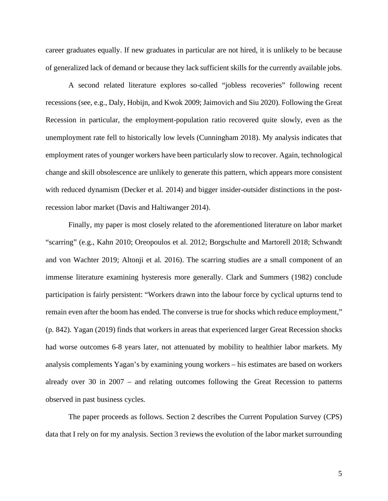career graduates equally. If new graduates in particular are not hired, it is unlikely to be because of generalized lack of demand or because they lack sufficient skills for the currently available jobs.

A second related literature explores so-called "jobless recoveries" following recent recessions (see, e.g., Daly, Hobijn, and Kwok 2009; Jaimovich and Siu 2020). Following the Great Recession in particular, the employment-population ratio recovered quite slowly, even as the unemployment rate fell to historically low levels (Cunningham 2018). My analysis indicates that employment rates of younger workers have been particularly slow to recover. Again, technological change and skill obsolescence are unlikely to generate this pattern, which appears more consistent with reduced dynamism (Decker et al. 2014) and bigger insider-outsider distinctions in the postrecession labor market (Davis and Haltiwanger 2014).

Finally, my paper is most closely related to the aforementioned literature on labor market "scarring" (e.g., Kahn 2010; Oreopoulos et al. 2012; Borgschulte and Martorell 2018; Schwandt and von Wachter 2019; Altonji et al. 2016). The scarring studies are a small component of an immense literature examining hysteresis more generally. Clark and Summers (1982) conclude participation is fairly persistent: "Workers drawn into the labour force by cyclical upturns tend to remain even after the boom has ended. The converse is true for shocks which reduce employment," (p. 842). Yagan (2019) finds that workers in areas that experienced larger Great Recession shocks had worse outcomes 6-8 years later, not attenuated by mobility to healthier labor markets. My analysis complements Yagan's by examining young workers – his estimates are based on workers already over 30 in 2007 – and relating outcomes following the Great Recession to patterns observed in past business cycles.

The paper proceeds as follows. Section 2 describes the Current Population Survey (CPS) data that I rely on for my analysis. Section 3 reviews the evolution of the labor market surrounding

5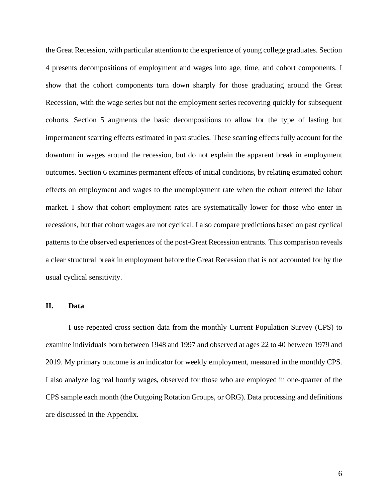the Great Recession, with particular attention to the experience of young college graduates. Section 4 presents decompositions of employment and wages into age, time, and cohort components. I show that the cohort components turn down sharply for those graduating around the Great Recession, with the wage series but not the employment series recovering quickly for subsequent cohorts. Section 5 augments the basic decompositions to allow for the type of lasting but impermanent scarring effects estimated in past studies. These scarring effects fully account for the downturn in wages around the recession, but do not explain the apparent break in employment outcomes. Section 6 examines permanent effects of initial conditions, by relating estimated cohort effects on employment and wages to the unemployment rate when the cohort entered the labor market. I show that cohort employment rates are systematically lower for those who enter in recessions, but that cohort wages are not cyclical. I also compare predictions based on past cyclical patterns to the observed experiences of the post-Great Recession entrants. This comparison reveals a clear structural break in employment before the Great Recession that is not accounted for by the usual cyclical sensitivity.

### **II. Data**

I use repeated cross section data from the monthly Current Population Survey (CPS) to examine individuals born between 1948 and 1997 and observed at ages 22 to 40 between 1979 and 2019. My primary outcome is an indicator for weekly employment, measured in the monthly CPS. I also analyze log real hourly wages, observed for those who are employed in one-quarter of the CPS sample each month (the Outgoing Rotation Groups, or ORG). Data processing and definitions are discussed in the Appendix.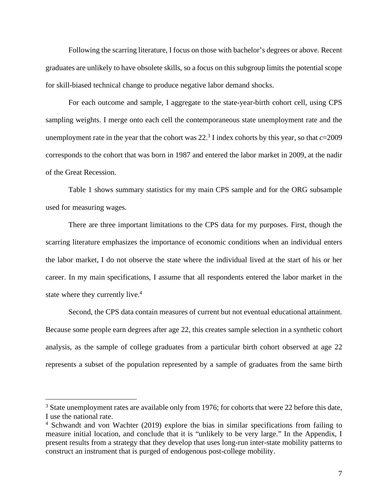Following the scarring literature, I focus on those with bachelor's degrees or above. Recent graduates are unlikely to have obsolete skills, so a focus on this subgroup limits the potential scope for skill-biased technical change to produce negative labor demand shocks.

For each outcome and sample, I aggregate to the state-year-birth cohort cell, using CPS sampling weights. I merge onto each cell the contemporaneous state unemployment rate and the unemployment rate in the year that the cohort was  $22<sup>3</sup>$  I index cohorts by this year, so that  $c=2009$ corresponds to the cohort that was born in 1987 and entered the labor market in 2009, at the nadir of the Great Recession.

Table 1 shows summary statistics for my main CPS sample and for the ORG subsample used for measuring wages.

There are three important limitations to the CPS data for my purposes. First, though the scarring literature emphasizes the importance of economic conditions when an individual enters the labor market, I do not observe the state where the individual lived at the start of his or her career. In my main specifications, I assume that all respondents entered the labor market in the state where they currently live.<sup>4</sup>

Second, the CPS data contain measures of current but not eventual educational attainment. Because some people earn degrees after age 22, this creates sample selection in a synthetic cohort analysis, as the sample of college graduates from a particular birth cohort observed at age 22 represents a subset of the population represented by a sample of graduates from the same birth

<sup>&</sup>lt;sup>3</sup> State unemployment rates are available only from 1976; for cohorts that were 22 before this date, I use the national rate.

<sup>&</sup>lt;sup>4</sup> Schwandt and von Wachter (2019) explore the bias in similar specifications from failing to measure initial location, and conclude that it is "unlikely to be very large." In the Appendix, I present results from a strategy that they develop that uses long-run inter-state mobility patterns to construct an instrument that is purged of endogenous post-college mobility.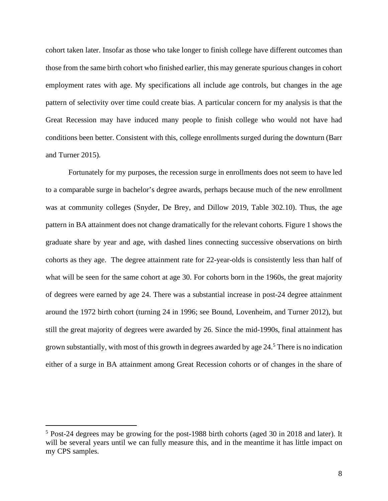cohort taken later. Insofar as those who take longer to finish college have different outcomes than those from the same birth cohort who finished earlier, this may generate spurious changes in cohort employment rates with age. My specifications all include age controls, but changes in the age pattern of selectivity over time could create bias. A particular concern for my analysis is that the Great Recession may have induced many people to finish college who would not have had conditions been better. Consistent with this, college enrollments surged during the downturn (Barr and Turner 2015).

Fortunately for my purposes, the recession surge in enrollments does not seem to have led to a comparable surge in bachelor's degree awards, perhaps because much of the new enrollment was at community colleges (Snyder, De Brey, and Dillow 2019, Table 302.10). Thus, the age pattern in BA attainment does not change dramatically for the relevant cohorts. Figure 1 shows the graduate share by year and age, with dashed lines connecting successive observations on birth cohorts as they age. The degree attainment rate for 22-year-olds is consistently less than half of what will be seen for the same cohort at age 30. For cohorts born in the 1960s, the great majority of degrees were earned by age 24. There was a substantial increase in post-24 degree attainment around the 1972 birth cohort (turning 24 in 1996; see Bound, Lovenheim, and Turner 2012), but still the great majority of degrees were awarded by 26. Since the mid-1990s, final attainment has grown substantially, with most of this growth in degrees awarded by age 24.<sup>5</sup> There is no indication either of a surge in BA attainment among Great Recession cohorts or of changes in the share of

<sup>&</sup>lt;sup>5</sup> Post-24 degrees may be growing for the post-1988 birth cohorts (aged 30 in 2018 and later). It will be several years until we can fully measure this, and in the meantime it has little impact on my CPS samples.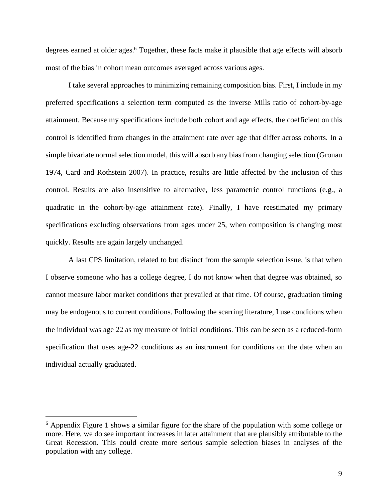degrees earned at older ages.<sup>6</sup> Together, these facts make it plausible that age effects will absorb most of the bias in cohort mean outcomes averaged across various ages.

I take several approaches to minimizing remaining composition bias. First, I include in my preferred specifications a selection term computed as the inverse Mills ratio of cohort-by-age attainment. Because my specifications include both cohort and age effects, the coefficient on this control is identified from changes in the attainment rate over age that differ across cohorts. In a simple bivariate normal selection model, this will absorb any bias from changing selection (Gronau 1974, Card and Rothstein 2007). In practice, results are little affected by the inclusion of this control. Results are also insensitive to alternative, less parametric control functions (e.g., a quadratic in the cohort-by-age attainment rate). Finally, I have reestimated my primary specifications excluding observations from ages under 25, when composition is changing most quickly. Results are again largely unchanged.

A last CPS limitation, related to but distinct from the sample selection issue, is that when I observe someone who has a college degree, I do not know when that degree was obtained, so cannot measure labor market conditions that prevailed at that time. Of course, graduation timing may be endogenous to current conditions. Following the scarring literature, I use conditions when the individual was age 22 as my measure of initial conditions. This can be seen as a reduced-form specification that uses age-22 conditions as an instrument for conditions on the date when an individual actually graduated.

<sup>&</sup>lt;sup>6</sup> Appendix Figure 1 shows a similar figure for the share of the population with some college or more. Here, we do see important increases in later attainment that are plausibly attributable to the Great Recession. This could create more serious sample selection biases in analyses of the population with any college.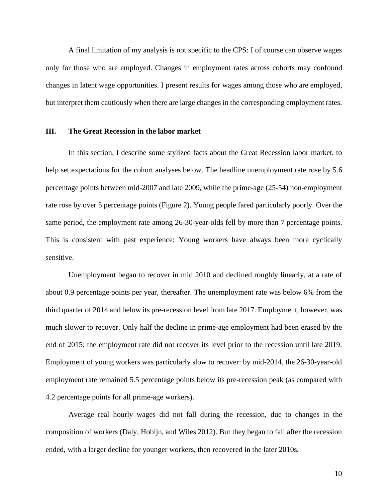A final limitation of my analysis is not specific to the CPS: I of course can observe wages only for those who are employed. Changes in employment rates across cohorts may confound changes in latent wage opportunities. I present results for wages among those who are employed, but interpret them cautiously when there are large changes in the corresponding employment rates.

### **III. The Great Recession in the labor market**

In this section, I describe some stylized facts about the Great Recession labor market, to help set expectations for the cohort analyses below. The headline unemployment rate rose by 5.6 percentage points between mid-2007 and late 2009, while the prime-age (25-54) non-employment rate rose by over 5 percentage points (Figure 2). Young people fared particularly poorly. Over the same period, the employment rate among 26-30-year-olds fell by more than 7 percentage points. This is consistent with past experience: Young workers have always been more cyclically sensitive.

Unemployment began to recover in mid 2010 and declined roughly linearly, at a rate of about 0.9 percentage points per year, thereafter. The unemployment rate was below 6% from the third quarter of 2014 and below its pre-recession level from late 2017. Employment, however, was much slower to recover. Only half the decline in prime-age employment had been erased by the end of 2015; the employment rate did not recover its level prior to the recession until late 2019. Employment of young workers was particularly slow to recover: by mid-2014, the 26-30-year-old employment rate remained 5.5 percentage points below its pre-recession peak (as compared with 4.2 percentage points for all prime-age workers).

Average real hourly wages did not fall during the recession, due to changes in the composition of workers (Daly, Hobijn, and Wiles 2012). But they began to fall after the recession ended, with a larger decline for younger workers, then recovered in the later 2010s.

10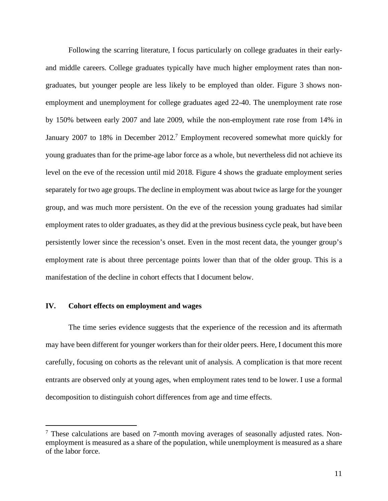Following the scarring literature, I focus particularly on college graduates in their earlyand middle careers. College graduates typically have much higher employment rates than nongraduates, but younger people are less likely to be employed than older. Figure 3 shows nonemployment and unemployment for college graduates aged 22-40. The unemployment rate rose by 150% between early 2007 and late 2009, while the non-employment rate rose from 14% in January 2007 to 18% in December 2012.<sup>7</sup> Employment recovered somewhat more quickly for young graduates than for the prime-age labor force as a whole, but nevertheless did not achieve its level on the eve of the recession until mid 2018. Figure 4 shows the graduate employment series separately for two age groups. The decline in employment was about twice as large for the younger group, and was much more persistent. On the eve of the recession young graduates had similar employment rates to older graduates, as they did at the previous business cycle peak, but have been persistently lower since the recession's onset. Even in the most recent data, the younger group's employment rate is about three percentage points lower than that of the older group. This is a manifestation of the decline in cohort effects that I document below.

## **IV. Cohort effects on employment and wages**

 $\overline{a}$ 

The time series evidence suggests that the experience of the recession and its aftermath may have been different for younger workers than for their older peers. Here, I document this more carefully, focusing on cohorts as the relevant unit of analysis. A complication is that more recent entrants are observed only at young ages, when employment rates tend to be lower. I use a formal decomposition to distinguish cohort differences from age and time effects.

<sup>&</sup>lt;sup>7</sup> These calculations are based on 7-month moving averages of seasonally adjusted rates. Nonemployment is measured as a share of the population, while unemployment is measured as a share of the labor force.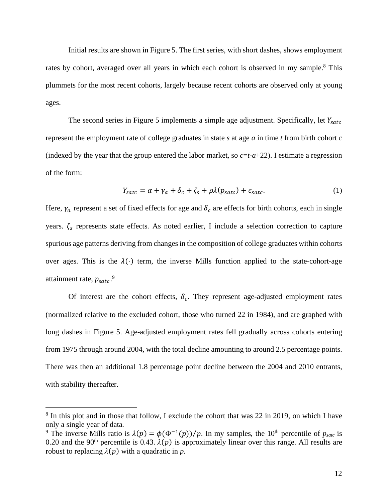Initial results are shown in Figure 5. The first series, with short dashes, shows employment rates by cohort, averaged over all years in which each cohort is observed in my sample.<sup>8</sup> This plummets for the most recent cohorts, largely because recent cohorts are observed only at young ages.

The second series in Figure 5 implements a simple age adjustment. Specifically, let  $Y_{\text{satc}}$ represent the employment rate of college graduates in state *s* at age *a* in time *t* from birth cohort *c* (indexed by the year that the group entered the labor market, so  $c=t-a+22$ ). I estimate a regression of the form:

$$
Y_{\text{satc}} = \alpha + \gamma_a + \delta_c + \zeta_s + \rho \lambda (p_{\text{satc}}) + \epsilon_{\text{satc}}.
$$
 (1)

Here,  $\gamma_a$  represent a set of fixed effects for age and  $\delta_c$  are effects for birth cohorts, each in single years.  $\zeta_s$  represents state effects. As noted earlier, I include a selection correction to capture spurious age patterns deriving from changes in the composition of college graduates within cohorts over ages. This is the  $\lambda(\cdot)$  term, the inverse Mills function applied to the state-cohort-age attainment rate,  $p_{\text{satc}}$ .<sup>9</sup>

Of interest are the cohort effects,  $\delta_c$ . They represent age-adjusted employment rates (normalized relative to the excluded cohort, those who turned 22 in 1984), and are graphed with long dashes in Figure 5. Age-adjusted employment rates fell gradually across cohorts entering from 1975 through around 2004, with the total decline amounting to around 2.5 percentage points. There was then an additional 1.8 percentage point decline between the 2004 and 2010 entrants, with stability thereafter.

<sup>&</sup>lt;sup>8</sup> In this plot and in those that follow, I exclude the cohort that was 22 in 2019, on which I have only a single year of data.

<sup>&</sup>lt;sup>9</sup> The inverse Mills ratio is  $\lambda(p) = \phi(\Phi^{-1}(p))/p$ . In my samples, the 10<sup>th</sup> percentile of  $p_{\text{satc}}$  is 0.20 and the 90<sup>th</sup> percentile is 0.43.  $\lambda(p)$  is approximately linear over this range. All results are robust to replacing  $\lambda(p)$  with a quadratic in *p*.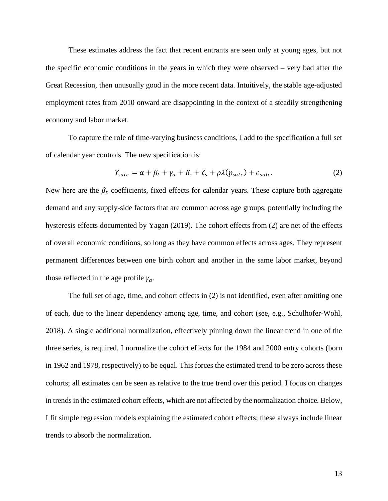These estimates address the fact that recent entrants are seen only at young ages, but not the specific economic conditions in the years in which they were observed – very bad after the Great Recession, then unusually good in the more recent data. Intuitively, the stable age-adjusted employment rates from 2010 onward are disappointing in the context of a steadily strengthening economy and labor market.

To capture the role of time-varying business conditions, I add to the specification a full set of calendar year controls. The new specification is:

$$
Y_{\text{satc}} = \alpha + \beta_t + \gamma_a + \delta_c + \zeta_s + \rho \lambda (p_{\text{satc}}) + \epsilon_{\text{satc}}.
$$
 (2)

New here are the  $\beta_t$  coefficients, fixed effects for calendar years. These capture both aggregate demand and any supply-side factors that are common across age groups, potentially including the hysteresis effects documented by Yagan (2019). The cohort effects from (2) are net of the effects of overall economic conditions, so long as they have common effects across ages. They represent permanent differences between one birth cohort and another in the same labor market, beyond those reflected in the age profile  $\gamma_a$ .

The full set of age, time, and cohort effects in (2) is not identified, even after omitting one of each, due to the linear dependency among age, time, and cohort (see, e.g., Schulhofer-Wohl, 2018). A single additional normalization, effectively pinning down the linear trend in one of the three series, is required. I normalize the cohort effects for the 1984 and 2000 entry cohorts (born in 1962 and 1978, respectively) to be equal. This forces the estimated trend to be zero across these cohorts; all estimates can be seen as relative to the true trend over this period. I focus on changes in trends in the estimated cohort effects, which are not affected by the normalization choice. Below, I fit simple regression models explaining the estimated cohort effects; these always include linear trends to absorb the normalization.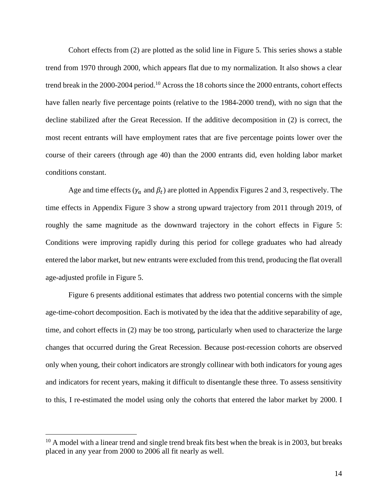Cohort effects from (2) are plotted as the solid line in Figure 5. This series shows a stable trend from 1970 through 2000, which appears flat due to my normalization. It also shows a clear trend break in the 2000-2004 period.10 Across the 18 cohorts since the 2000 entrants, cohort effects have fallen nearly five percentage points (relative to the 1984-2000 trend), with no sign that the decline stabilized after the Great Recession. If the additive decomposition in (2) is correct, the most recent entrants will have employment rates that are five percentage points lower over the course of their careers (through age 40) than the 2000 entrants did, even holding labor market conditions constant.

Age and time effects ( $\gamma_a$  and  $\beta_t$ ) are plotted in Appendix Figures 2 and 3, respectively. The time effects in Appendix Figure 3 show a strong upward trajectory from 2011 through 2019, of roughly the same magnitude as the downward trajectory in the cohort effects in Figure 5: Conditions were improving rapidly during this period for college graduates who had already entered the labor market, but new entrants were excluded from this trend, producing the flat overall age-adjusted profile in Figure 5.

Figure 6 presents additional estimates that address two potential concerns with the simple age-time-cohort decomposition. Each is motivated by the idea that the additive separability of age, time, and cohort effects in (2) may be too strong, particularly when used to characterize the large changes that occurred during the Great Recession. Because post-recession cohorts are observed only when young, their cohort indicators are strongly collinear with both indicators for young ages and indicators for recent years, making it difficult to disentangle these three. To assess sensitivity to this, I re-estimated the model using only the cohorts that entered the labor market by 2000. I

 $10$  A model with a linear trend and single trend break fits best when the break is in 2003, but breaks placed in any year from 2000 to 2006 all fit nearly as well.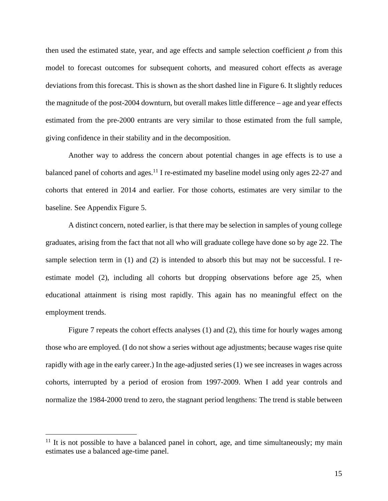then used the estimated state, year, and age effects and sample selection coefficient  $\rho$  from this model to forecast outcomes for subsequent cohorts, and measured cohort effects as average deviations from this forecast. This is shown as the short dashed line in Figure 6. It slightly reduces the magnitude of the post-2004 downturn, but overall makes little difference – age and year effects estimated from the pre-2000 entrants are very similar to those estimated from the full sample, giving confidence in their stability and in the decomposition.

Another way to address the concern about potential changes in age effects is to use a balanced panel of cohorts and ages.<sup>11</sup> I re-estimated my baseline model using only ages  $22-27$  and cohorts that entered in 2014 and earlier. For those cohorts, estimates are very similar to the baseline. See Appendix Figure 5.

A distinct concern, noted earlier, is that there may be selection in samples of young college graduates, arising from the fact that not all who will graduate college have done so by age 22. The sample selection term in (1) and (2) is intended to absorb this but may not be successful. I reestimate model (2), including all cohorts but dropping observations before age 25, when educational attainment is rising most rapidly. This again has no meaningful effect on the employment trends.

Figure 7 repeats the cohort effects analyses (1) and (2), this time for hourly wages among those who are employed. (I do not show a series without age adjustments; because wages rise quite rapidly with age in the early career.) In the age-adjusted series (1) we see increases in wages across cohorts, interrupted by a period of erosion from 1997-2009. When I add year controls and normalize the 1984-2000 trend to zero, the stagnant period lengthens: The trend is stable between

 $11$  It is not possible to have a balanced panel in cohort, age, and time simultaneously; my main estimates use a balanced age-time panel.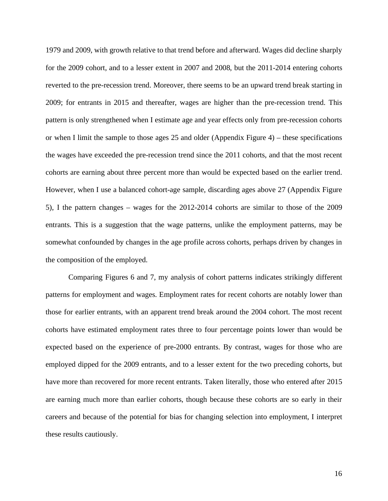1979 and 2009, with growth relative to that trend before and afterward. Wages did decline sharply for the 2009 cohort, and to a lesser extent in 2007 and 2008, but the 2011-2014 entering cohorts reverted to the pre-recession trend. Moreover, there seems to be an upward trend break starting in 2009; for entrants in 2015 and thereafter, wages are higher than the pre-recession trend. This pattern is only strengthened when I estimate age and year effects only from pre-recession cohorts or when I limit the sample to those ages 25 and older (Appendix Figure 4) – these specifications the wages have exceeded the pre-recession trend since the 2011 cohorts, and that the most recent cohorts are earning about three percent more than would be expected based on the earlier trend. However, when I use a balanced cohort-age sample, discarding ages above 27 (Appendix Figure 5), I the pattern changes – wages for the 2012-2014 cohorts are similar to those of the 2009 entrants. This is a suggestion that the wage patterns, unlike the employment patterns, may be somewhat confounded by changes in the age profile across cohorts, perhaps driven by changes in the composition of the employed.

Comparing Figures 6 and 7, my analysis of cohort patterns indicates strikingly different patterns for employment and wages. Employment rates for recent cohorts are notably lower than those for earlier entrants, with an apparent trend break around the 2004 cohort. The most recent cohorts have estimated employment rates three to four percentage points lower than would be expected based on the experience of pre-2000 entrants. By contrast, wages for those who are employed dipped for the 2009 entrants, and to a lesser extent for the two preceding cohorts, but have more than recovered for more recent entrants. Taken literally, those who entered after 2015 are earning much more than earlier cohorts, though because these cohorts are so early in their careers and because of the potential for bias for changing selection into employment, I interpret these results cautiously.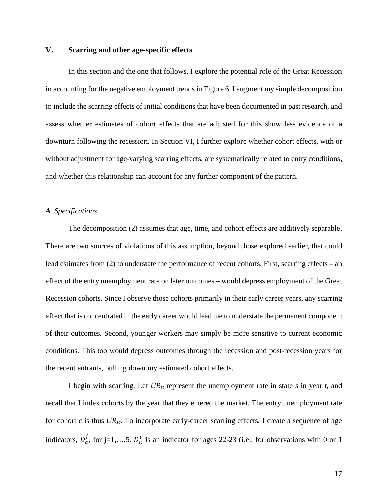# **V. Scarring and other age-specific effects**

In this section and the one that follows, I explore the potential role of the Great Recession in accounting for the negative employment trends in Figure 6. I augment my simple decomposition to include the scarring effects of initial conditions that have been documented in past research, and assess whether estimates of cohort effects that are adjusted for this show less evidence of a downturn following the recession. In Section VI, I further explore whether cohort effects, with or without adjustment for age-varying scarring effects, are systematically related to entry conditions, and whether this relationship can account for any further component of the pattern.

#### *A. Specifications*

The decomposition (2) assumes that age, time, and cohort effects are additively separable. There are two sources of violations of this assumption, beyond those explored earlier, that could lead estimates from (2) to understate the performance of recent cohorts. First, scarring effects – an effect of the entry unemployment rate on later outcomes – would depress employment of the Great Recession cohorts. Since I observe those cohorts primarily in their early career years, any scarring effect that is concentrated in the early career would lead me to understate the permanent component of their outcomes. Second, younger workers may simply be more sensitive to current economic conditions. This too would depress outcomes through the recession and post-recession years for the recent entrants, pulling down my estimated cohort effects.

I begin with scarring. Let *URst* represent the unemployment rate in state *s* in year *t*, and recall that I index cohorts by the year that they entered the market. The entry unemployment rate for cohort *c* is thus *URsc*. To incorporate early-career scarring effects, I create a sequence of age indicators,  $D_a^j$ , for j=1,...,5.  $D_a^1$  is an indicator for ages 22-23 (i.e., for observations with 0 or 1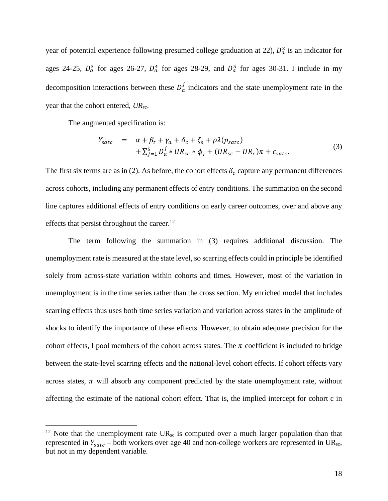year of potential experience following presumed college graduation at 22),  $D_a^2$  is an indicator for ages 24-25,  $D_a^3$  for ages 26-27,  $D_a^4$  for ages 28-29, and  $D_a^5$  for ages 30-31. I include in my decomposition interactions between these  $D_a^j$  indicators and the state unemployment rate in the year that the cohort entered, *URsc*.

The augmented specification is:

 $\overline{a}$ 

$$
Y_{\text{satc}} = \alpha + \beta_t + \gamma_a + \delta_c + \zeta_s + \rho \lambda (p_{\text{satc}}) + \sum_{j=1}^5 D_a^j * UR_{sc} * \phi_j + (UR_{sc} - UR_c)\pi + \epsilon_{\text{satc}}.
$$
 (3)

The first six terms are as in (2). As before, the cohort effects  $\delta_c$  capture any permanent differences across cohorts, including any permanent effects of entry conditions. The summation on the second line captures additional effects of entry conditions on early career outcomes, over and above any effects that persist throughout the career.<sup>12</sup>

The term following the summation in (3) requires additional discussion. The unemployment rate is measured at the state level, so scarring effects could in principle be identified solely from across-state variation within cohorts and times. However, most of the variation in unemployment is in the time series rather than the cross section. My enriched model that includes scarring effects thus uses both time series variation and variation across states in the amplitude of shocks to identify the importance of these effects. However, to obtain adequate precision for the cohort effects, I pool members of the cohort across states. The  $\pi$  coefficient is included to bridge between the state-level scarring effects and the national-level cohort effects. If cohort effects vary across states,  $\pi$  will absorb any component predicted by the state unemployment rate, without affecting the estimate of the national cohort effect. That is, the implied intercept for cohort c in

<sup>&</sup>lt;sup>12</sup> Note that the unemployment rate  $UR_{sc}$  is computed over a much larger population than that represented in  $Y_{\text{satc}}$  – both workers over age 40 and non-college workers are represented in UR<sub>sc</sub>, but not in my dependent variable.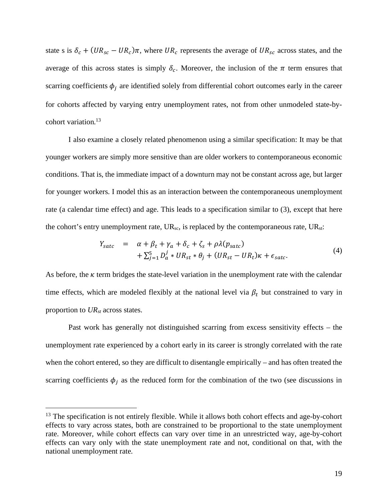state s is  $\delta_c + (UR_{sc} - UR_c)\pi$ , where  $UR_c$  represents the average of  $UR_{sc}$  across states, and the average of this across states is simply  $\delta_c$ . Moreover, the inclusion of the  $\pi$  term ensures that scarring coefficients  $\phi_i$  are identified solely from differential cohort outcomes early in the career for cohorts affected by varying entry unemployment rates, not from other unmodeled state-bycohort variation.13

I also examine a closely related phenomenon using a similar specification: It may be that younger workers are simply more sensitive than are older workers to contemporaneous economic conditions. That is, the immediate impact of a downturn may not be constant across age, but larger for younger workers. I model this as an interaction between the contemporaneous unemployment rate (a calendar time effect) and age. This leads to a specification similar to (3), except that here the cohort's entry unemployment rate,  $UR_{sc}$ , is replaced by the contemporaneous rate,  $UR_{st}$ :

$$
Y_{\text{satc}} = \alpha + \beta_t + \gamma_a + \delta_c + \zeta_s + \rho \lambda (p_{\text{satc}}) + \sum_{j=1}^5 D_a^j * UR_{st} * \theta_j + (UR_{st} - UR_t)\kappa + \epsilon_{\text{satc}}.
$$
 (4)

As before, the  $\kappa$  term bridges the state-level variation in the unemployment rate with the calendar time effects, which are modeled flexibly at the national level via  $\beta_t$  but constrained to vary in proportion to *URst* across states.

Past work has generally not distinguished scarring from excess sensitivity effects – the unemployment rate experienced by a cohort early in its career is strongly correlated with the rate when the cohort entered, so they are difficult to disentangle empirically – and has often treated the scarring coefficients  $\phi_i$  as the reduced form for the combination of the two (see discussions in

<sup>&</sup>lt;sup>13</sup> The specification is not entirely flexible. While it allows both cohort effects and age-by-cohort effects to vary across states, both are constrained to be proportional to the state unemployment rate. Moreover, while cohort effects can vary over time in an unrestricted way, age-by-cohort effects can vary only with the state unemployment rate and not, conditional on that, with the national unemployment rate.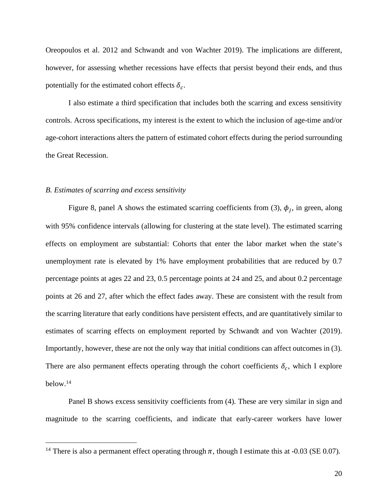Oreopoulos et al. 2012 and Schwandt and von Wachter 2019). The implications are different, however, for assessing whether recessions have effects that persist beyond their ends, and thus potentially for the estimated cohort effects  $\delta_c$ .

I also estimate a third specification that includes both the scarring and excess sensitivity controls. Across specifications, my interest is the extent to which the inclusion of age-time and/or age-cohort interactions alters the pattern of estimated cohort effects during the period surrounding the Great Recession.

#### *B. Estimates of scarring and excess sensitivity*

 $\overline{a}$ 

Figure 8, panel A shows the estimated scarring coefficients from (3),  $\phi_i$ , in green, along with 95% confidence intervals (allowing for clustering at the state level). The estimated scarring effects on employment are substantial: Cohorts that enter the labor market when the state's unemployment rate is elevated by 1% have employment probabilities that are reduced by 0.7 percentage points at ages 22 and 23, 0.5 percentage points at 24 and 25, and about 0.2 percentage points at 26 and 27, after which the effect fades away. These are consistent with the result from the scarring literature that early conditions have persistent effects, and are quantitatively similar to estimates of scarring effects on employment reported by Schwandt and von Wachter (2019). Importantly, however, these are not the only way that initial conditions can affect outcomes in (3). There are also permanent effects operating through the cohort coefficients  $\delta_c$ , which I explore below.14

Panel B shows excess sensitivity coefficients from (4). These are very similar in sign and magnitude to the scarring coefficients, and indicate that early-career workers have lower

<sup>&</sup>lt;sup>14</sup> There is also a permanent effect operating through  $\pi$ , though I estimate this at -0.03 (SE 0.07).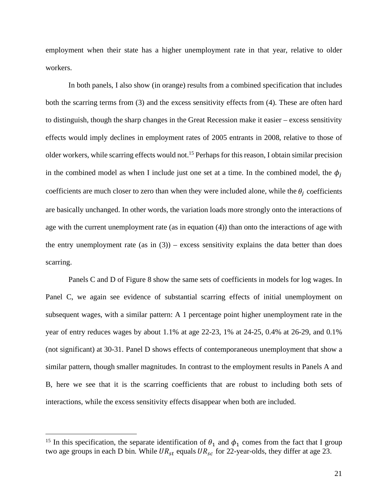employment when their state has a higher unemployment rate in that year, relative to older workers.

In both panels, I also show (in orange) results from a combined specification that includes both the scarring terms from (3) and the excess sensitivity effects from (4). These are often hard to distinguish, though the sharp changes in the Great Recession make it easier – excess sensitivity effects would imply declines in employment rates of 2005 entrants in 2008, relative to those of older workers, while scarring effects would not.15 Perhaps for this reason, I obtain similar precision in the combined model as when I include just one set at a time. In the combined model, the  $\phi_i$ coefficients are much closer to zero than when they were included alone, while the  $\theta_i$  coefficients are basically unchanged. In other words, the variation loads more strongly onto the interactions of age with the current unemployment rate (as in equation (4)) than onto the interactions of age with the entry unemployment rate (as in  $(3)$ ) – excess sensitivity explains the data better than does scarring.

Panels C and D of Figure 8 show the same sets of coefficients in models for log wages. In Panel C, we again see evidence of substantial scarring effects of initial unemployment on subsequent wages, with a similar pattern: A 1 percentage point higher unemployment rate in the year of entry reduces wages by about 1.1% at age 22-23, 1% at 24-25, 0.4% at 26-29, and 0.1% (not significant) at 30-31. Panel D shows effects of contemporaneous unemployment that show a similar pattern, though smaller magnitudes. In contrast to the employment results in Panels A and B, here we see that it is the scarring coefficients that are robust to including both sets of interactions, while the excess sensitivity effects disappear when both are included.

<sup>&</sup>lt;sup>15</sup> In this specification, the separate identification of  $\theta_1$  and  $\phi_1$  comes from the fact that I group two age groups in each D bin. While  $UR_{st}$  equals  $UR_{sc}$  for 22-year-olds, they differ at age 23.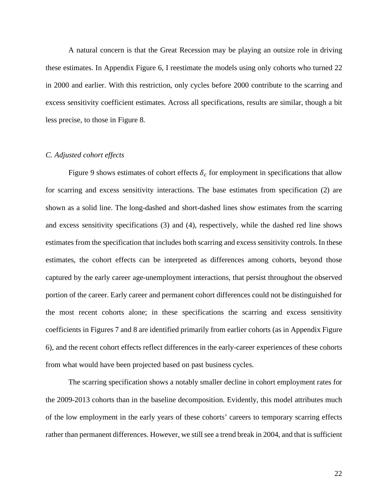A natural concern is that the Great Recession may be playing an outsize role in driving these estimates. In Appendix Figure 6, I reestimate the models using only cohorts who turned 22 in 2000 and earlier. With this restriction, only cycles before 2000 contribute to the scarring and excess sensitivity coefficient estimates. Across all specifications, results are similar, though a bit less precise, to those in Figure 8.

### *C. Adjusted cohort effects*

Figure 9 shows estimates of cohort effects  $\delta_c$  for employment in specifications that allow for scarring and excess sensitivity interactions. The base estimates from specification (2) are shown as a solid line. The long-dashed and short-dashed lines show estimates from the scarring and excess sensitivity specifications (3) and (4), respectively, while the dashed red line shows estimates from the specification that includes both scarring and excess sensitivity controls. In these estimates, the cohort effects can be interpreted as differences among cohorts, beyond those captured by the early career age-unemployment interactions, that persist throughout the observed portion of the career. Early career and permanent cohort differences could not be distinguished for the most recent cohorts alone; in these specifications the scarring and excess sensitivity coefficients in Figures 7 and 8 are identified primarily from earlier cohorts (as in Appendix Figure 6), and the recent cohort effects reflect differences in the early-career experiences of these cohorts from what would have been projected based on past business cycles.

The scarring specification shows a notably smaller decline in cohort employment rates for the 2009-2013 cohorts than in the baseline decomposition. Evidently, this model attributes much of the low employment in the early years of these cohorts' careers to temporary scarring effects rather than permanent differences. However, we still see a trend break in 2004, and that is sufficient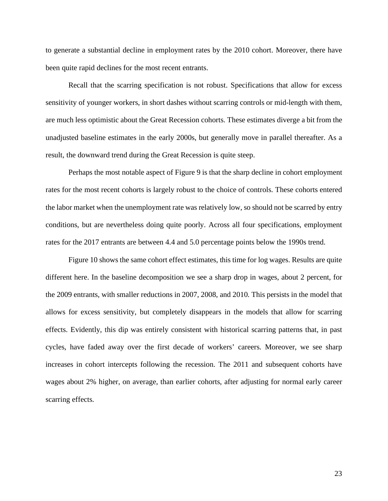to generate a substantial decline in employment rates by the 2010 cohort. Moreover, there have been quite rapid declines for the most recent entrants.

Recall that the scarring specification is not robust. Specifications that allow for excess sensitivity of younger workers, in short dashes without scarring controls or mid-length with them, are much less optimistic about the Great Recession cohorts. These estimates diverge a bit from the unadjusted baseline estimates in the early 2000s, but generally move in parallel thereafter. As a result, the downward trend during the Great Recession is quite steep.

Perhaps the most notable aspect of Figure 9 is that the sharp decline in cohort employment rates for the most recent cohorts is largely robust to the choice of controls. These cohorts entered the labor market when the unemployment rate was relatively low, so should not be scarred by entry conditions, but are nevertheless doing quite poorly. Across all four specifications, employment rates for the 2017 entrants are between 4.4 and 5.0 percentage points below the 1990s trend.

 Figure 10 shows the same cohort effect estimates, this time for log wages. Results are quite different here. In the baseline decomposition we see a sharp drop in wages, about 2 percent, for the 2009 entrants, with smaller reductions in 2007, 2008, and 2010. This persists in the model that allows for excess sensitivity, but completely disappears in the models that allow for scarring effects. Evidently, this dip was entirely consistent with historical scarring patterns that, in past cycles, have faded away over the first decade of workers' careers. Moreover, we see sharp increases in cohort intercepts following the recession. The 2011 and subsequent cohorts have wages about 2% higher, on average, than earlier cohorts, after adjusting for normal early career scarring effects.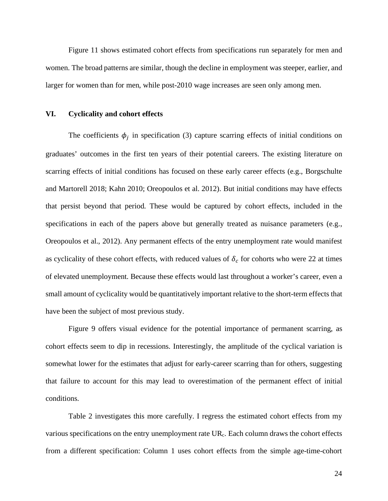Figure 11 shows estimated cohort effects from specifications run separately for men and women. The broad patterns are similar, though the decline in employment was steeper, earlier, and larger for women than for men, while post-2010 wage increases are seen only among men.

### **VI. Cyclicality and cohort effects**

The coefficients  $\phi_j$  in specification (3) capture scarring effects of initial conditions on graduates' outcomes in the first ten years of their potential careers. The existing literature on scarring effects of initial conditions has focused on these early career effects (e.g., Borgschulte and Martorell 2018; Kahn 2010; Oreopoulos et al. 2012). But initial conditions may have effects that persist beyond that period. These would be captured by cohort effects, included in the specifications in each of the papers above but generally treated as nuisance parameters (e.g., Oreopoulos et al., 2012). Any permanent effects of the entry unemployment rate would manifest as cyclicality of these cohort effects, with reduced values of  $\delta_c$  for cohorts who were 22 at times of elevated unemployment. Because these effects would last throughout a worker's career, even a small amount of cyclicality would be quantitatively important relative to the short-term effects that have been the subject of most previous study.

Figure 9 offers visual evidence for the potential importance of permanent scarring, as cohort effects seem to dip in recessions. Interestingly, the amplitude of the cyclical variation is somewhat lower for the estimates that adjust for early-career scarring than for others, suggesting that failure to account for this may lead to overestimation of the permanent effect of initial conditions.

Table 2 investigates this more carefully. I regress the estimated cohort effects from my various specifications on the entry unemployment rate UR<sub>c</sub>. Each column draws the cohort effects from a different specification: Column 1 uses cohort effects from the simple age-time-cohort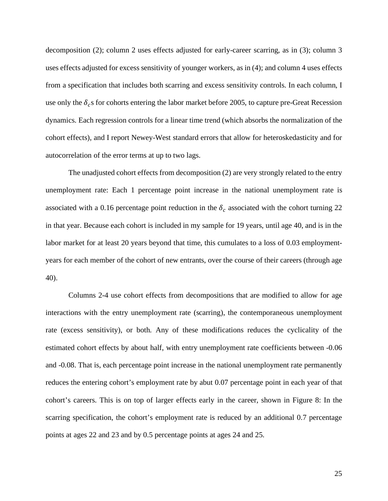decomposition (2); column 2 uses effects adjusted for early-career scarring, as in (3); column 3 uses effects adjusted for excess sensitivity of younger workers, as in (4); and column 4 uses effects from a specification that includes both scarring and excess sensitivity controls. In each column, I use only the  $\delta_c$ s for cohorts entering the labor market before 2005, to capture pre-Great Recession dynamics. Each regression controls for a linear time trend (which absorbs the normalization of the cohort effects), and I report Newey-West standard errors that allow for heteroskedasticity and for autocorrelation of the error terms at up to two lags.

The unadjusted cohort effects from decomposition (2) are very strongly related to the entry unemployment rate: Each 1 percentage point increase in the national unemployment rate is associated with a 0.16 percentage point reduction in the  $\delta_c$  associated with the cohort turning 22 in that year. Because each cohort is included in my sample for 19 years, until age 40, and is in the labor market for at least 20 years beyond that time, this cumulates to a loss of 0.03 employmentyears for each member of the cohort of new entrants, over the course of their careers (through age 40).

Columns 2-4 use cohort effects from decompositions that are modified to allow for age interactions with the entry unemployment rate (scarring), the contemporaneous unemployment rate (excess sensitivity), or both. Any of these modifications reduces the cyclicality of the estimated cohort effects by about half, with entry unemployment rate coefficients between -0.06 and -0.08. That is, each percentage point increase in the national unemployment rate permanently reduces the entering cohort's employment rate by abut 0.07 percentage point in each year of that cohort's careers. This is on top of larger effects early in the career, shown in Figure 8: In the scarring specification, the cohort's employment rate is reduced by an additional 0.7 percentage points at ages 22 and 23 and by 0.5 percentage points at ages 24 and 25.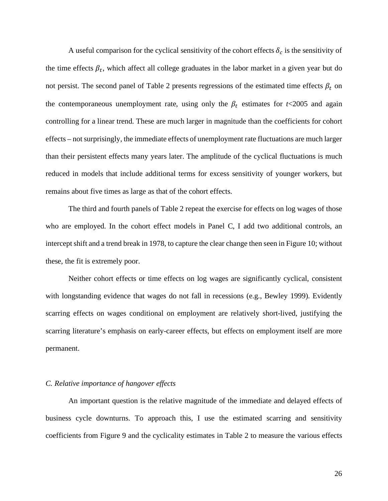A useful comparison for the cyclical sensitivity of the cohort effects  $\delta_c$  is the sensitivity of the time effects  $\beta_t$ , which affect all college graduates in the labor market in a given year but do not persist. The second panel of Table 2 presents regressions of the estimated time effects  $\beta_t$  on the contemporaneous unemployment rate, using only the  $\beta_t$  estimates for *t*<2005 and again controlling for a linear trend. These are much larger in magnitude than the coefficients for cohort effects – not surprisingly, the immediate effects of unemployment rate fluctuations are much larger than their persistent effects many years later. The amplitude of the cyclical fluctuations is much reduced in models that include additional terms for excess sensitivity of younger workers, but remains about five times as large as that of the cohort effects.

The third and fourth panels of Table 2 repeat the exercise for effects on log wages of those who are employed. In the cohort effect models in Panel C, I add two additional controls, an intercept shift and a trend break in 1978, to capture the clear change then seen in Figure 10; without these, the fit is extremely poor.

Neither cohort effects or time effects on log wages are significantly cyclical, consistent with longstanding evidence that wages do not fall in recessions (e.g., Bewley 1999). Evidently scarring effects on wages conditional on employment are relatively short-lived, justifying the scarring literature's emphasis on early-career effects, but effects on employment itself are more permanent.

## *C. Relative importance of hangover effects*

An important question is the relative magnitude of the immediate and delayed effects of business cycle downturns. To approach this, I use the estimated scarring and sensitivity coefficients from Figure 9 and the cyclicality estimates in Table 2 to measure the various effects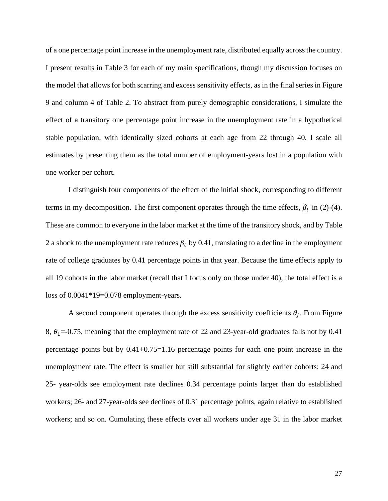of a one percentage point increase in the unemployment rate, distributed equally across the country. I present results in Table 3 for each of my main specifications, though my discussion focuses on the model that allows for both scarring and excess sensitivity effects, as in the final series in Figure 9 and column 4 of Table 2. To abstract from purely demographic considerations, I simulate the effect of a transitory one percentage point increase in the unemployment rate in a hypothetical stable population, with identically sized cohorts at each age from 22 through 40. I scale all estimates by presenting them as the total number of employment-years lost in a population with one worker per cohort.

I distinguish four components of the effect of the initial shock, corresponding to different terms in my decomposition. The first component operates through the time effects,  $\beta_t$  in (2)-(4). These are common to everyone in the labor market at the time of the transitory shock, and by Table 2 a shock to the unemployment rate reduces  $\beta_t$  by 0.41, translating to a decline in the employment rate of college graduates by 0.41 percentage points in that year. Because the time effects apply to all 19 cohorts in the labor market (recall that I focus only on those under 40), the total effect is a loss of 0.0041\*19=0.078 employment-years.

A second component operates through the excess sensitivity coefficients  $\theta_i$ . From Figure 8,  $\theta_1$  = -0.75, meaning that the employment rate of 22 and 23-year-old graduates falls not by 0.41 percentage points but by 0.41+0.75=1.16 percentage points for each one point increase in the unemployment rate. The effect is smaller but still substantial for slightly earlier cohorts: 24 and 25- year-olds see employment rate declines 0.34 percentage points larger than do established workers; 26- and 27-year-olds see declines of 0.31 percentage points, again relative to established workers; and so on. Cumulating these effects over all workers under age 31 in the labor market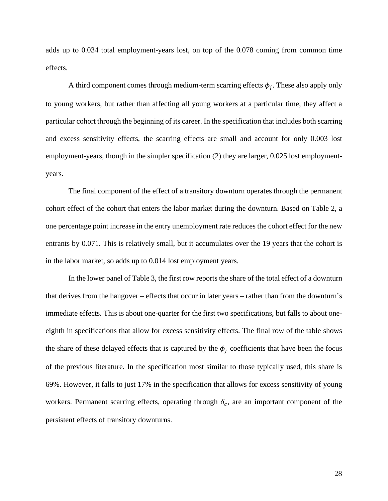adds up to 0.034 total employment-years lost, on top of the 0.078 coming from common time effects.

A third component comes through medium-term scarring effects  $\phi_j$ . These also apply only to young workers, but rather than affecting all young workers at a particular time, they affect a particular cohort through the beginning of its career. In the specification that includes both scarring and excess sensitivity effects, the scarring effects are small and account for only 0.003 lost employment-years, though in the simpler specification (2) they are larger, 0.025 lost employmentyears.

The final component of the effect of a transitory downturn operates through the permanent cohort effect of the cohort that enters the labor market during the downturn. Based on Table 2, a one percentage point increase in the entry unemployment rate reduces the cohort effect for the new entrants by 0.071. This is relatively small, but it accumulates over the 19 years that the cohort is in the labor market, so adds up to 0.014 lost employment years.

In the lower panel of Table 3, the first row reports the share of the total effect of a downturn that derives from the hangover – effects that occur in later years – rather than from the downturn's immediate effects. This is about one-quarter for the first two specifications, but falls to about oneeighth in specifications that allow for excess sensitivity effects. The final row of the table shows the share of these delayed effects that is captured by the  $\phi_i$  coefficients that have been the focus of the previous literature. In the specification most similar to those typically used, this share is 69%. However, it falls to just 17% in the specification that allows for excess sensitivity of young workers. Permanent scarring effects, operating through  $\delta_c$ , are an important component of the persistent effects of transitory downturns.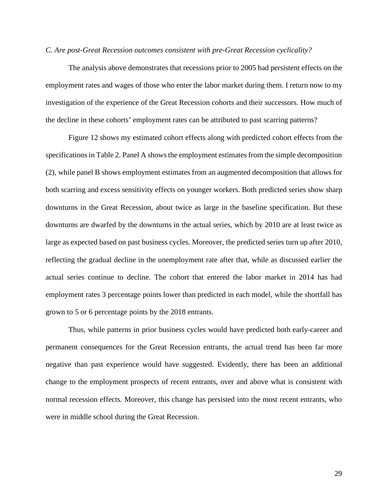### *C. Are post-Great Recession outcomes consistent with pre-Great Recession cyclicality?*

The analysis above demonstrates that recessions prior to 2005 had persistent effects on the employment rates and wages of those who enter the labor market during them. I return now to my investigation of the experience of the Great Recession cohorts and their successors. How much of the decline in these cohorts' employment rates can be attributed to past scarring patterns?

Figure 12 shows my estimated cohort effects along with predicted cohort effects from the specifications in Table 2. Panel A shows the employment estimates from the simple decomposition (2), while panel B shows employment estimates from an augmented decomposition that allows for both scarring and excess sensitivity effects on younger workers. Both predicted series show sharp downturns in the Great Recession, about twice as large in the baseline specification. But these downturns are dwarfed by the downturns in the actual series, which by 2010 are at least twice as large as expected based on past business cycles. Moreover, the predicted series turn up after 2010, reflecting the gradual decline in the unemployment rate after that, while as discussed earlier the actual series continue to decline. The cohort that entered the labor market in 2014 has had employment rates 3 percentage points lower than predicted in each model, while the shortfall has grown to 5 or 6 percentage points by the 2018 entrants.

Thus, while patterns in prior business cycles would have predicted both early-career and permanent consequences for the Great Recession entrants, the actual trend has been far more negative than past experience would have suggested. Evidently, there has been an additional change to the employment prospects of recent entrants, over and above what is consistent with normal recession effects. Moreover, this change has persisted into the most recent entrants, who were in middle school during the Great Recession.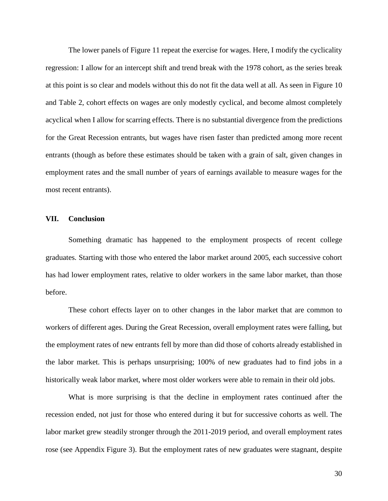The lower panels of Figure 11 repeat the exercise for wages. Here, I modify the cyclicality regression: I allow for an intercept shift and trend break with the 1978 cohort, as the series break at this point is so clear and models without this do not fit the data well at all. As seen in Figure 10 and Table 2, cohort effects on wages are only modestly cyclical, and become almost completely acyclical when I allow for scarring effects. There is no substantial divergence from the predictions for the Great Recession entrants, but wages have risen faster than predicted among more recent entrants (though as before these estimates should be taken with a grain of salt, given changes in employment rates and the small number of years of earnings available to measure wages for the most recent entrants).

## **VII. Conclusion**

Something dramatic has happened to the employment prospects of recent college graduates. Starting with those who entered the labor market around 2005, each successive cohort has had lower employment rates, relative to older workers in the same labor market, than those before.

These cohort effects layer on to other changes in the labor market that are common to workers of different ages. During the Great Recession, overall employment rates were falling, but the employment rates of new entrants fell by more than did those of cohorts already established in the labor market. This is perhaps unsurprising; 100% of new graduates had to find jobs in a historically weak labor market, where most older workers were able to remain in their old jobs.

What is more surprising is that the decline in employment rates continued after the recession ended, not just for those who entered during it but for successive cohorts as well. The labor market grew steadily stronger through the 2011-2019 period, and overall employment rates rose (see Appendix Figure 3). But the employment rates of new graduates were stagnant, despite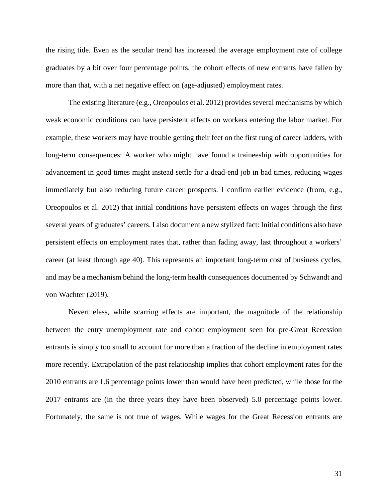the rising tide. Even as the secular trend has increased the average employment rate of college graduates by a bit over four percentage points, the cohort effects of new entrants have fallen by more than that, with a net negative effect on (age-adjusted) employment rates.

The existing literature (e.g., Oreopoulos et al. 2012) provides several mechanisms by which weak economic conditions can have persistent effects on workers entering the labor market. For example, these workers may have trouble getting their feet on the first rung of career ladders, with long-term consequences: A worker who might have found a traineeship with opportunities for advancement in good times might instead settle for a dead-end job in bad times, reducing wages immediately but also reducing future career prospects. I confirm earlier evidence (from, e.g., Oreopoulos et al. 2012) that initial conditions have persistent effects on wages through the first several years of graduates' careers. I also document a new stylized fact: Initial conditions also have persistent effects on employment rates that, rather than fading away, last throughout a workers' career (at least through age 40). This represents an important long-term cost of business cycles, and may be a mechanism behind the long-term health consequences documented by Schwandt and von Wachter (2019).

Nevertheless, while scarring effects are important, the magnitude of the relationship between the entry unemployment rate and cohort employment seen for pre-Great Recession entrants is simply too small to account for more than a fraction of the decline in employment rates more recently. Extrapolation of the past relationship implies that cohort employment rates for the 2010 entrants are 1.6 percentage points lower than would have been predicted, while those for the 2017 entrants are (in the three years they have been observed) 5.0 percentage points lower. Fortunately, the same is not true of wages. While wages for the Great Recession entrants are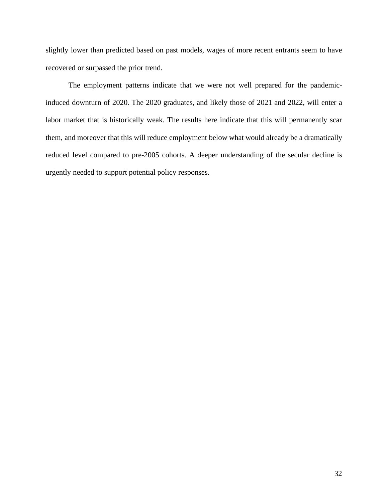slightly lower than predicted based on past models, wages of more recent entrants seem to have recovered or surpassed the prior trend.

The employment patterns indicate that we were not well prepared for the pandemicinduced downturn of 2020. The 2020 graduates, and likely those of 2021 and 2022, will enter a labor market that is historically weak. The results here indicate that this will permanently scar them, and moreover that this will reduce employment below what would already be a dramatically reduced level compared to pre-2005 cohorts. A deeper understanding of the secular decline is urgently needed to support potential policy responses.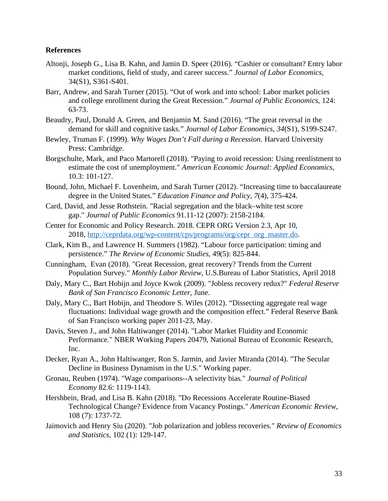# **References**

- Altonji, Joseph G., Lisa B. Kahn, and Jamin D. Speer (2016). "Cashier or consultant? Entry labor market conditions, field of study, and career success." *Journal of Labor Economics*, 34(S1), S361-S401.
- Barr, Andrew, and Sarah Turner (2015). "Out of work and into school: Labor market policies and college enrollment during the Great Recession." *Journal of Public Economics*, 124: 63-73.
- Beaudry, Paul, Donald A. Green, and Benjamin M. Sand (2016). "The great reversal in the demand for skill and cognitive tasks." *Journal of Labor Economics*, *34*(S1), S199-S247.
- Bewley, Truman F. (1999). *Why Wages Don't Fall during a Recession*. Harvard University Press: Cambridge.
- Borgschulte, Mark, and Paco Martorell (2018). "Paying to avoid recession: Using reenlistment to estimate the cost of unemployment." *American Economic Journal: Applied Economics*, 10.3: 101-127.
- Bound, John, Michael F. Lovenheim, and Sarah Turner (2012). "Increasing time to baccalaureate degree in the United States." *Education Finance and Policy*, *7*(4), 375-424.
- Card, David, and Jesse Rothstein. "Racial segregation and the black–white test score gap." *Journal of Public Economics* 91.11-12 (2007): 2158-2184.
- Center for Economic and Policy Research. 2018. CEPR ORG Version 2.3, Apr 10, 2018, http://ceprdata.org/wp-content/cps/programs/org/cepr\_org\_master.do.
- Clark, Kim B., and Lawrence H. Summers (1982). "Labour force participation: timing and persistence." *The Review of Economic Studies*, 49(5): 825-844.
- Cunningham, Evan (2018). "Great Recession, great recovery? Trends from the Current Population Survey." *Monthly Labor Review*, U.S.Bureau of Labor Statistics, April 2018
- Daly, Mary C., Bart Hobijn and Joyce Kwok (2009). "Jobless recovery redux?" *Federal Reserve Bank of San Francisco Economic Letter*, June.
- Daly, Mary C., Bart Hobijn, and Theodore S. Wiles (2012). "Dissecting aggregate real wage fluctuations: Individual wage growth and the composition effect." Federal Reserve Bank of San Francisco working paper 2011-23, May.
- Davis, Steven J., and John Haltiwanger (2014). "Labor Market Fluidity and Economic Performance." NBER Working Papers 20479, National Bureau of Economic Research, Inc.
- Decker, Ryan A., John Haltiwanger, Ron S. Jarmin, and Javier Miranda (2014). "The Secular Decline in Business Dynamism in the U.S." Working paper.
- Gronau, Reuben (1974). "Wage comparisons--A selectivity bias." *Journal of Political Economy* 82.6: 1119-1143.
- Hershbein, Brad, and Lisa B. Kahn (2018). "Do Recessions Accelerate Routine-Biased Technological Change? Evidence from Vacancy Postings." *American Economic Review*, 108 (7): 1737-72.
- Jaimovich and Henry Siu (2020). "Job polarization and jobless recoveries." *Review of Economics and Statistics,* 102 (1): 129-147.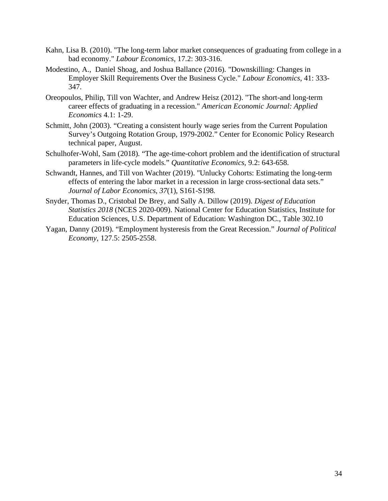- Kahn, Lisa B. (2010). "The long-term labor market consequences of graduating from college in a bad economy." *Labour Economics,* 17.2: 303-316.
- Modestino, A., Daniel Shoag, and Joshua Ballance (2016). "Downskilling: Changes in Employer Skill Requirements Over the Business Cycle." *Labour Economics*, 41: 333- 347.
- Oreopoulos, Philip, Till von Wachter, and Andrew Heisz (2012). "The short-and long-term career effects of graduating in a recession." *American Economic Journal: Applied Economics* 4.1: 1-29.
- Schmitt, John (2003). "Creating a consistent hourly wage series from the Current Population Survey's Outgoing Rotation Group, 1979-2002." Center for Economic Policy Research technical paper, August.
- Schulhofer-Wohl, Sam (2018). "The age-time-cohort problem and the identification of structural parameters in life-cycle models." *Quantitative Economics,* 9.2: 643-658.
- Schwandt, Hannes, and Till von Wachter (2019). "Unlucky Cohorts: Estimating the long-term effects of entering the labor market in a recession in large cross-sectional data sets." *Journal of Labor Economics*, *37*(1), S161-S198.
- Snyder, Thomas D., Cristobal De Brey, and Sally A. Dillow (2019). *Digest of Education Statistics 2018* (NCES 2020-009). National Center for Education Statistics, Institute for Education Sciences, U.S. Department of Education: Washington DC., Table 302.10
- Yagan, Danny (2019). "Employment hysteresis from the Great Recession." *Journal of Political Economy*, 127.5: 2505-2558.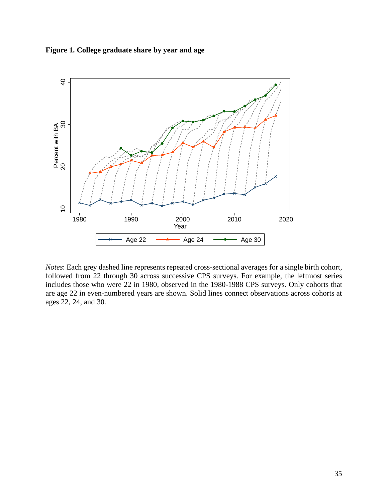**Figure 1. College graduate share by year and age** 



*Notes*: Each grey dashed line represents repeated cross-sectional averages for a single birth cohort, followed from 22 through 30 across successive CPS surveys. For example, the leftmost series includes those who were 22 in 1980, observed in the 1980-1988 CPS surveys. Only cohorts that are age 22 in even-numbered years are shown. Solid lines connect observations across cohorts at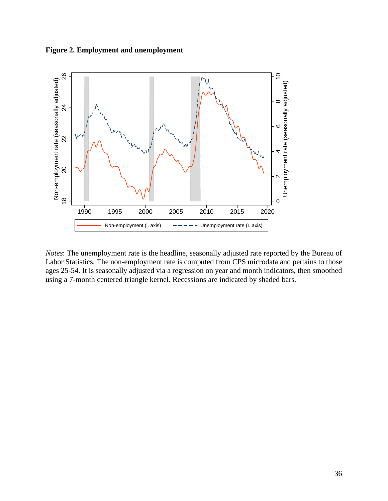**Figure 2. Employment and unemployment** 



*Notes*: The unemployment rate is the headline, seasonally adjusted rate reported by the Bureau of Labor Statistics. The non-employment rate is computed from CPS microdata and pertains to those ages 25-54. It is seasonally adjusted via a regression on year and month indicators, then smoothed using a 7-month centered triangle kernel. Recessions are indicated by shaded bars.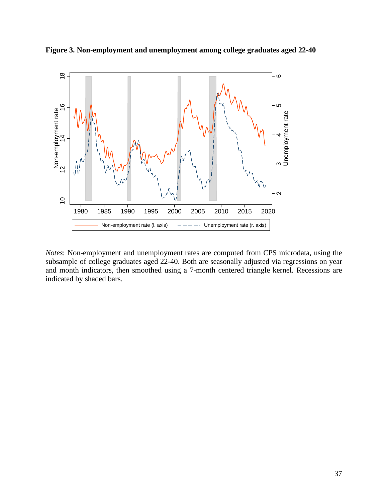



*Notes*: Non-employment and unemployment rates are computed from CPS microdata, using the subsample of college graduates aged 22-40. Both are seasonally adjusted via regressions on year and month indicators, then smoothed using a 7-month centered triangle kernel. Recessions are indicated by shaded bars.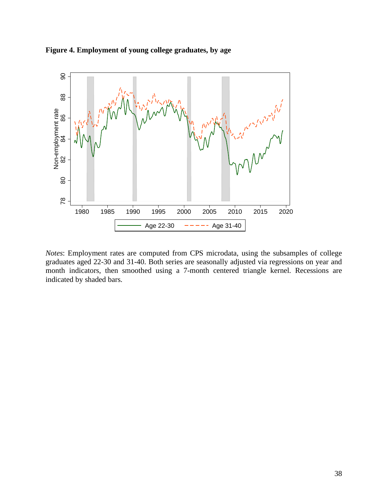



*Notes*: Employment rates are computed from CPS microdata, using the subsamples of college graduates aged 22-30 and 31-40. Both series are seasonally adjusted via regressions on year and month indicators, then smoothed using a 7-month centered triangle kernel. Recessions are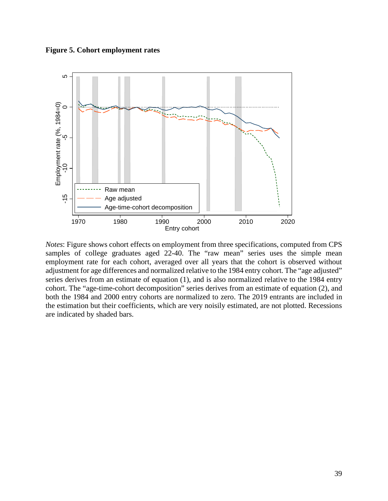**Figure 5. Cohort employment rates** 



*Notes*: Figure shows cohort effects on employment from three specifications, computed from CPS samples of college graduates aged 22-40. The "raw mean" series uses the simple mean employment rate for each cohort, averaged over all years that the cohort is observed without adjustment for age differences and normalized relative to the 1984 entry cohort. The "age adjusted" series derives from an estimate of equation (1), and is also normalized relative to the 1984 entry cohort. The "age-time-cohort decomposition" series derives from an estimate of equation (2), and both the 1984 and 2000 entry cohorts are normalized to zero. The 2019 entrants are included in the estimation but their coefficients, which are very noisily estimated, are not plotted. Recessions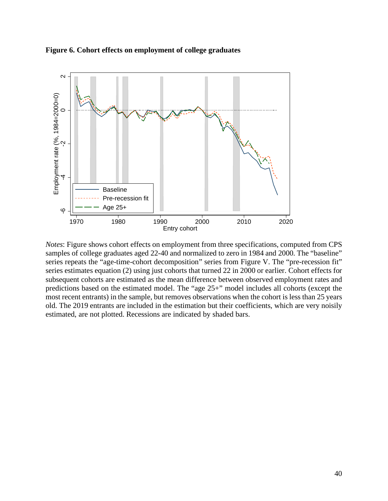



*Notes*: Figure shows cohort effects on employment from three specifications, computed from CPS samples of college graduates aged 22-40 and normalized to zero in 1984 and 2000. The "baseline" series repeats the "age-time-cohort decomposition" series from Figure V. The "pre-recession fit" series estimates equation (2) using just cohorts that turned 22 in 2000 or earlier. Cohort effects for subsequent cohorts are estimated as the mean difference between observed employment rates and predictions based on the estimated model. The "age 25+" model includes all cohorts (except the most recent entrants) in the sample, but removes observations when the cohort is less than 25 years old. The 2019 entrants are included in the estimation but their coefficients, which are very noisily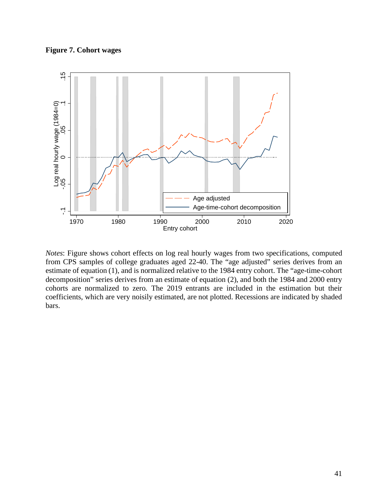**Figure 7. Cohort wages** 



*Notes*: Figure shows cohort effects on log real hourly wages from two specifications, computed from CPS samples of college graduates aged 22-40. The "age adjusted" series derives from an estimate of equation (1), and is normalized relative to the 1984 entry cohort. The "age-time-cohort decomposition" series derives from an estimate of equation (2), and both the 1984 and 2000 entry cohorts are normalized to zero. The 2019 entrants are included in the estimation but their coefficients, which are very noisily estimated, are not plotted. Recessions are indicated by shaded bars.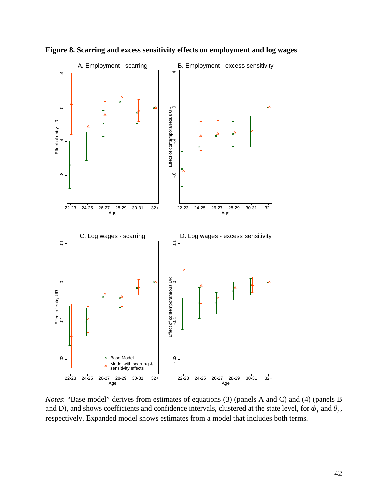

**Figure 8. Scarring and excess sensitivity effects on employment and log wages** 

*Notes*: "Base model" derives from estimates of equations (3) (panels A and C) and (4) (panels B and D), and shows coefficients and confidence intervals, clustered at the state level, for  $\phi_i$  and  $\theta_i$ ,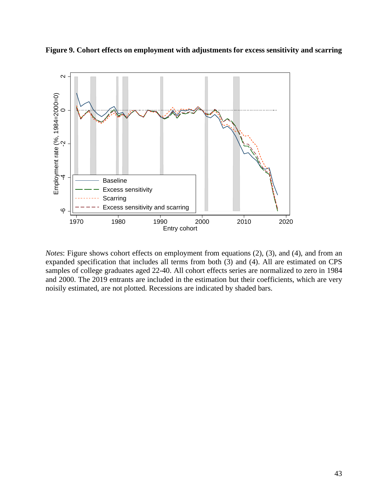



*Notes*: Figure shows cohort effects on employment from equations (2), (3), and (4), and from an expanded specification that includes all terms from both (3) and (4). All are estimated on CPS samples of college graduates aged 22-40. All cohort effects series are normalized to zero in 1984 and 2000. The 2019 entrants are included in the estimation but their coefficients, which are very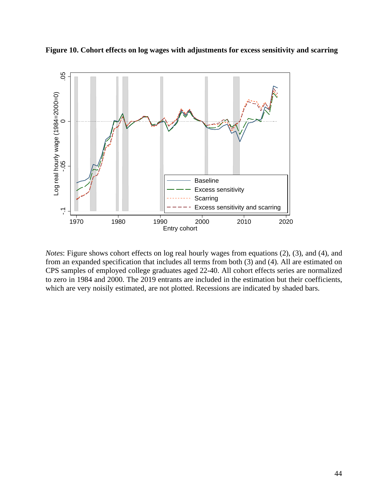



*Notes*: Figure shows cohort effects on log real hourly wages from equations (2), (3), and (4), and from an expanded specification that includes all terms from both (3) and (4). All are estimated on CPS samples of employed college graduates aged 22-40. All cohort effects series are normalized to zero in 1984 and 2000. The 2019 entrants are included in the estimation but their coefficients,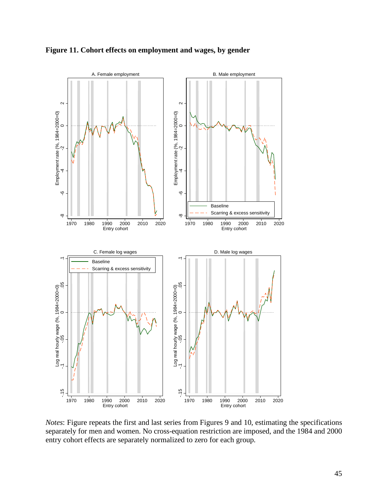

**Figure 11. Cohort effects on employment and wages, by gender** 

*Notes*: Figure repeats the first and last series from Figures 9 and 10, estimating the specifications separately for men and women. No cross-equation restriction are imposed, and the 1984 and 2000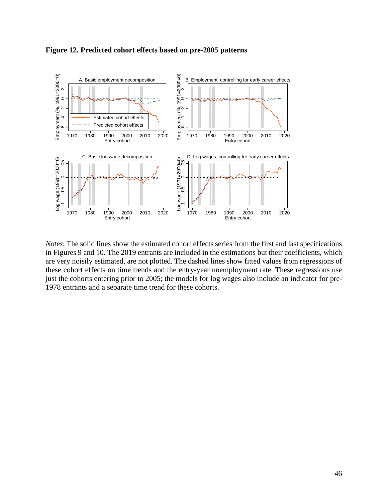

**Figure 12. Predicted cohort effects based on pre-2005 patterns**  Predicted cohort effects on employment and wages

*Notes*: The solid lines show the estimated cohort effects series from the first and last specifications in Figures 9 and 10. The 2019 entrants are included in the estimations but their coefficients, which are very noisily estimated, are not plotted. The dashed lines show fitted values from regressions of these cohort effects on time trends and the entry-year unemployment rate. These regressions use just the cohorts entering prior to 2005; the models for log wages also include an indicator for pre-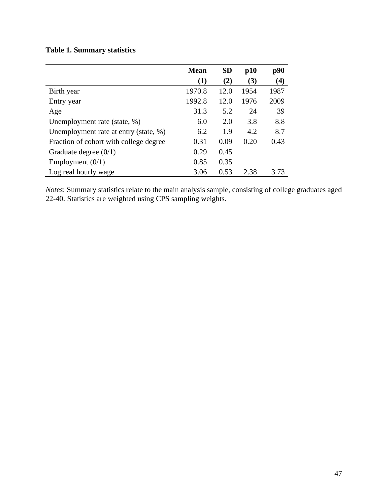|  |  | <b>Table 1. Summary statistics</b> |  |
|--|--|------------------------------------|--|
|--|--|------------------------------------|--|

|                                        | <b>Mean</b> | <b>SD</b> | p10  | p90  |
|----------------------------------------|-------------|-----------|------|------|
|                                        | $\bf(1)$    | (2)       | (3)  | (4)  |
| Birth year                             | 1970.8      | 12.0      | 1954 | 1987 |
| Entry year                             | 1992.8      | 12.0      | 1976 | 2009 |
| Age                                    | 31.3        | 5.2       | 24   | 39   |
| Unemployment rate (state, %)           | 6.0         | 2.0       | 3.8  | 8.8  |
| Unemployment rate at entry (state, %)  | 6.2         | 1.9       | 4.2  | 8.7  |
| Fraction of cohort with college degree | 0.31        | 0.09      | 0.20 | 0.43 |
| Graduate degree $(0/1)$                | 0.29        | 0.45      |      |      |
| Employment $(0/1)$                     | 0.85        | 0.35      |      |      |
| Log real hourly wage                   | 3.06        | 0.53      | 2.38 | 3.73 |

*Notes*: Summary statistics relate to the main analysis sample, consisting of college graduates aged 22-40. Statistics are weighted using CPS sampling weights.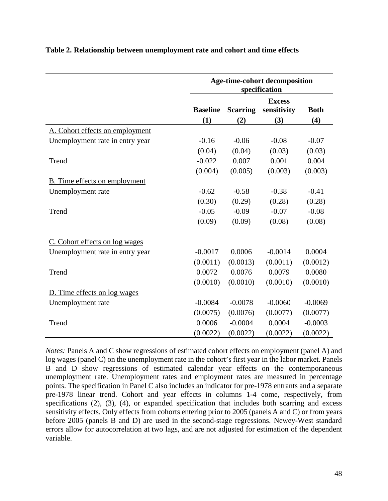|                                      | <b>Age-time-cohort decomposition</b><br>specification |                 |                                     |                    |
|--------------------------------------|-------------------------------------------------------|-----------------|-------------------------------------|--------------------|
|                                      | <b>Baseline</b><br>(1)                                | <b>Scarring</b> | <b>Excess</b><br>sensitivity<br>(3) | <b>Both</b><br>(4) |
|                                      |                                                       | (2)             |                                     |                    |
| A. Cohort effects on employment      | $-0.16$                                               | $-0.06$         | $-0.08$                             | $-0.07$            |
| Unemployment rate in entry year      |                                                       |                 |                                     |                    |
|                                      | (0.04)                                                | (0.04)          | (0.03)                              | (0.03)             |
| Trend                                | $-0.022$                                              | 0.007           | 0.001                               | 0.004              |
|                                      | (0.004)                                               | (0.005)         | (0.003)                             | (0.003)            |
| <b>B.</b> Time effects on employment |                                                       |                 |                                     |                    |
| Unemployment rate                    | $-0.62$                                               | $-0.58$         | $-0.38$                             | $-0.41$            |
|                                      | (0.30)                                                | (0.29)          | (0.28)                              | (0.28)             |
| Trend                                | $-0.05$                                               | $-0.09$         | $-0.07$                             | $-0.08$            |
|                                      | (0.09)                                                | (0.09)          | (0.08)                              | (0.08)             |
| C. Cohort effects on log wages       |                                                       |                 |                                     |                    |
| Unemployment rate in entry year      | $-0.0017$                                             | 0.0006          | $-0.0014$                           | 0.0004             |
|                                      | (0.0011)                                              | (0.0013)        | (0.0011)                            | (0.0012)           |
| Trend                                | 0.0072                                                | 0.0076          | 0.0079                              | 0.0080             |
|                                      | (0.0010)                                              | (0.0010)        | (0.0010)                            | (0.0010)           |
| D. Time effects on log wages         |                                                       |                 |                                     |                    |
| Unemployment rate                    | $-0.0084$                                             | $-0.0078$       | $-0.0060$                           | $-0.0069$          |
|                                      | (0.0075)                                              | (0.0076)        | (0.0077)                            | (0.0077)           |
| Trend                                | 0.0006                                                | $-0.0004$       | 0.0004                              | $-0.0003$          |
|                                      | (0.0022)                                              | (0.0022)        | (0.0022)                            | (0.0022)           |

# **Table 2. Relationship between unemployment rate and cohort and time effects**

*Notes:* Panels A and C show regressions of estimated cohort effects on employment (panel A) and log wages (panel C) on the unemployment rate in the cohort's first year in the labor market. Panels B and D show regressions of estimated calendar year effects on the contemporaneous unemployment rate. Unemployment rates and employment rates are measured in percentage points. The specification in Panel C also includes an indicator for pre-1978 entrants and a separate pre-1978 linear trend. Cohort and year effects in columns 1-4 come, respectively, from specifications (2), (3), (4), or expanded specification that includes both scarring and excess sensitivity effects. Only effects from cohorts entering prior to 2005 (panels A and C) or from years before 2005 (panels B and D) are used in the second-stage regressions. Newey-West standard errors allow for autocorrelation at two lags, and are not adjusted for estimation of the dependent variable.